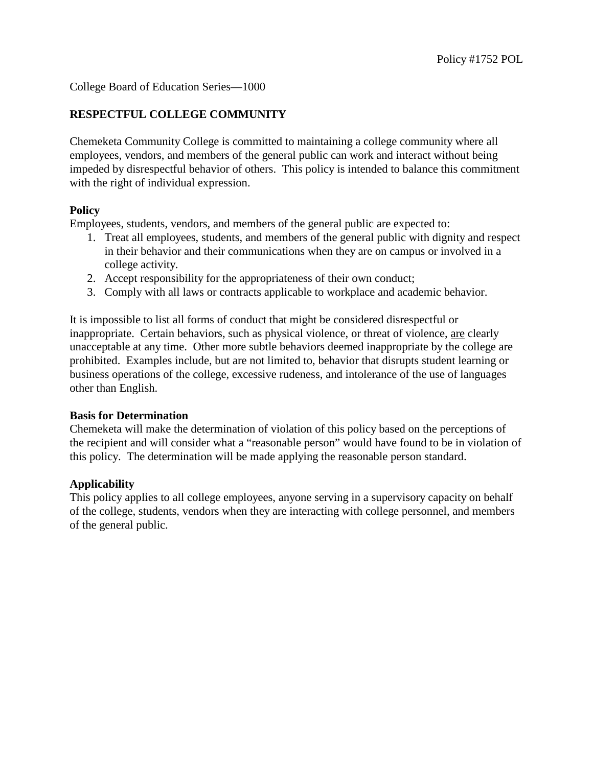College Board of Education Series—1000

# **RESPECTFUL COLLEGE COMMUNITY**

Chemeketa Community College is committed to maintaining a college community where all employees, vendors, and members of the general public can work and interact without being impeded by disrespectful behavior of others. This policy is intended to balance this commitment with the right of individual expression.

### **Policy**

Employees, students, vendors, and members of the general public are expected to:

- 1. Treat all employees, students, and members of the general public with dignity and respect in their behavior and their communications when they are on campus or involved in a college activity.
- 2. Accept responsibility for the appropriateness of their own conduct;
- 3. Comply with all laws or contracts applicable to workplace and academic behavior.

It is impossible to list all forms of conduct that might be considered disrespectful or inappropriate. Certain behaviors, such as physical violence, or threat of violence, are clearly unacceptable at any time. Other more subtle behaviors deemed inappropriate by the college are prohibited. Examples include, but are not limited to, behavior that disrupts student learning or business operations of the college, excessive rudeness, and intolerance of the use of languages other than English.

#### **Basis for Determination**

Chemeketa will make the determination of violation of this policy based on the perceptions of the recipient and will consider what a "reasonable person" would have found to be in violation of this policy. The determination will be made applying the reasonable person standard.

## **Applicability**

This policy applies to all college employees, anyone serving in a supervisory capacity on behalf of the college, students, vendors when they are interacting with college personnel, and members of the general public.